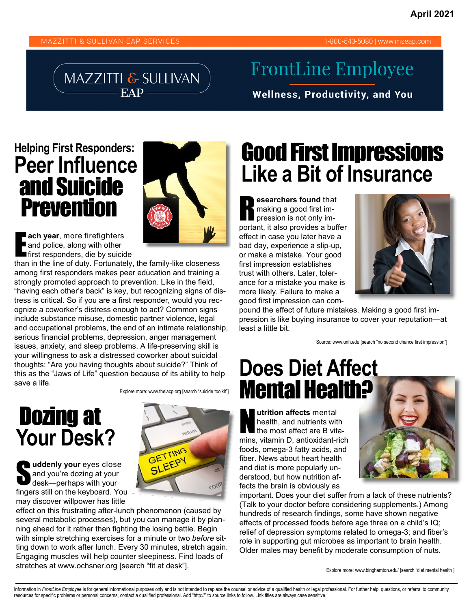#### MAZZITTI & SULLIVAN EAP SERVICES

1-800-543-5080 | www.mseap.com

MAZZITTI & SULLIVAN EAP-

## **FrontLine Employee**

**Wellness, Productivity, and You** 

#### **Helping First Responders: Peer Influence**  and Suicide **Prevention**



**ach year**, more firefighters<br>
and police, along with other<br>
first responders, die by suicide and police, along with other

than in the line of duty. Fortunately, the family-like closeness among first responders makes peer education and training a strongly promoted approach to prevention. Like in the field, "having each other's back" is key, but recognizing signs of distress is critical. So if you are a first responder, would you recognize a coworker's distress enough to act? Common signs include substance misuse, domestic partner violence, legal and occupational problems, the end of an intimate relationship, serious financial problems, depression, anger management issues, anxiety, and sleep problems. A life-preserving skill is your willingness to ask a distressed coworker about suicidal thoughts: "Are you having thoughts about suicide?" Think of this as the "Jaws of Life" question because of its ability to help save a life.

Explore more: www.theiacp.org [search "suicide toolkit"]

# Dozing at **Your Desk?**

**v** uddenly your eyes close<br>and you're dozing at your<br>desk—perhaps with your and you're dozing at your desk—perhaps with your fingers still on the keyboard. You may discover willpower has little



effect on this frustrating after-lunch phenomenon (caused by several metabolic processes), but you can manage it by planning ahead for it rather than fighting the losing battle. Begin with simple stretching exercises for a minute or two *before* sitting down to work after lunch. Every 30 minutes, stretch again. Engaging muscles will help counter sleepiness. Find loads of stretches at www.ochsner.org [search "fit at desk"].

# Good First Impressions **Like a Bit of Insurance**

**esearchers found that making a good first im-<br>pression is not only im**making a good first important, it also provides a buffer effect in case you later have a bad day, experience a slip-up, or make a mistake. Your good first impression establishes trust with others. Later, tolerance for a mistake you make is more likely. Failure to make a good first impression can com-



pound the effect of future mistakes. Making a good first impression is like buying insurance to cover your reputation—at least a little bit.

Source: www.unh.edu [search "no second chance first impression"]

# **Does Diet Affect**  Mental Health?

**utrition affects mental** health, and nutrients with the most effect are B vitamins, vitamin D, antioxidant-rich foods, omega-3 fatty acids, and fiber. News about heart health and diet is more popularly understood, but how nutrition affects the brain is obviously as



important. Does your diet suffer from a lack of these nutrients? (Talk to your doctor before considering supplements.) Among hundreds of research findings, some have shown negative effects of processed foods before age three on a child's IQ; relief of depression symptoms related to omega-3; and fiber's role in supporting gut microbes as important to brain health. Older males may benefit by moderate consumption of nuts.

Explore more: www.binghamton.edu/ [search "diet mental health ]

Information in FrontLine Employee is for general informational purposes only and is not intended to replace the counsel or advice of a qualified health or legal professional. For further help, questions, or referral to com resources for specific problems or personal concerns, contact a qualified professional. Add "http://" to source links to follow. Link titles are always case sensitive.